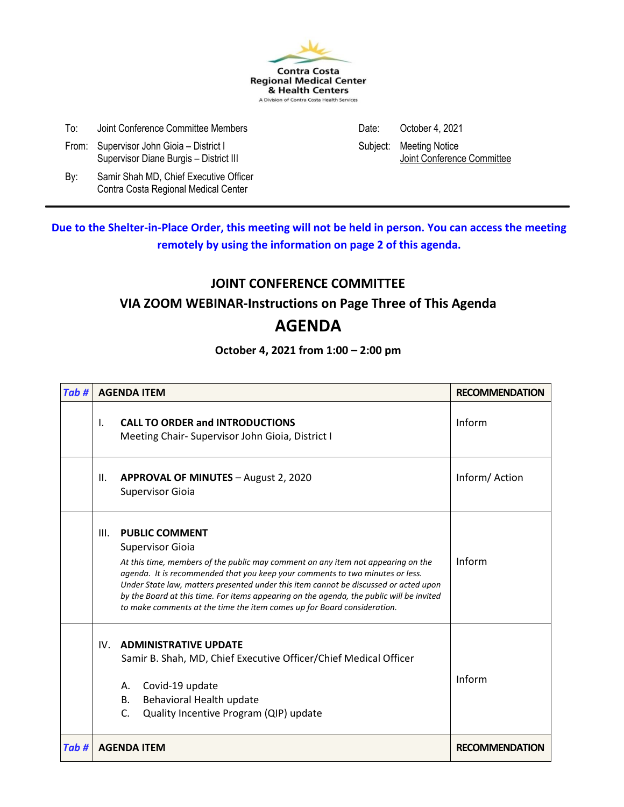

| To: | Joint Conference Committee Members | Date: October 4, 2021 |
|-----|------------------------------------|-----------------------|
|     |                                    |                       |

- From: Supervisor John Gioia District I Subject: Meeting Notice
- By: Samir Shah MD, Chief Executive Officer Contra Costa Regional Medical Center

Supervisor Diane Burgis – District III and a state of the state of the Muslim Supervisor Diane Burgis – District III

**Due to the Shelter-in-Place Order, this meeting will not be held in person. You can access the meeting remotely by using the information on page 2 of this agenda.**

### **JOINT CONFERENCE COMMITTEE**

### **VIA ZOOM WEBINAR-Instructions on Page Three of This Agenda**

### **AGENDA**

### **October 4, 2021 from 1:00 – 2:00 pm**

| Tab#  |              | <b>AGENDA ITEM</b>                                                                                                                                                                                                                                                                                                                                                                                                                                                                   | <b>RECOMMENDATION</b> |
|-------|--------------|--------------------------------------------------------------------------------------------------------------------------------------------------------------------------------------------------------------------------------------------------------------------------------------------------------------------------------------------------------------------------------------------------------------------------------------------------------------------------------------|-----------------------|
|       | $\mathsf{L}$ | <b>CALL TO ORDER and INTRODUCTIONS</b><br>Meeting Chair- Supervisor John Gioia, District I                                                                                                                                                                                                                                                                                                                                                                                           | Inform                |
|       | Ш.           | APPROVAL OF MINUTES - August 2, 2020<br><b>Supervisor Gioia</b>                                                                                                                                                                                                                                                                                                                                                                                                                      | Inform/Action         |
|       | III.         | <b>PUBLIC COMMENT</b><br><b>Supervisor Gioia</b><br>At this time, members of the public may comment on any item not appearing on the<br>agenda. It is recommended that you keep your comments to two minutes or less.<br>Under State law, matters presented under this item cannot be discussed or acted upon<br>by the Board at this time. For items appearing on the agenda, the public will be invited<br>to make comments at the time the item comes up for Board consideration. | Inform                |
|       | $IV_{-}$     | <b>ADMINISTRATIVE UPDATE</b><br>Samir B. Shah, MD, Chief Executive Officer/Chief Medical Officer<br>Covid-19 update<br>А.<br>Behavioral Health update<br><b>B.</b><br>$\mathsf{C}$ .<br>Quality Incentive Program (QIP) update                                                                                                                                                                                                                                                       | Inform                |
| Tab # |              | <b>AGENDA ITEM</b>                                                                                                                                                                                                                                                                                                                                                                                                                                                                   | <b>RECOMMENDATION</b> |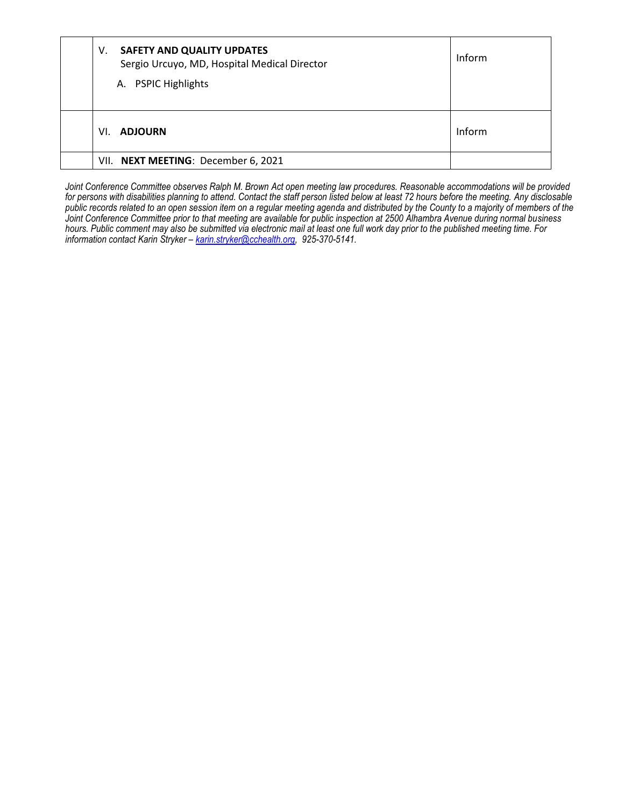| V.  | SAFETY AND QUALITY UPDATES<br>Sergio Urcuyo, MD, Hospital Medical Director<br>A. PSPIC Highlights | Inform |
|-----|---------------------------------------------------------------------------------------------------|--------|
| VI. | <b>ADJOURN</b>                                                                                    | Inform |
|     | VII. NEXT MEETING: December 6, 2021                                                               |        |

Joint Conference Committee observes Ralph M. Brown Act open meeting law procedures. Reasonable accommodations will be provided *for persons with disabilities planning to attend. Contact the staff person listed below at least 72 hours before the meeting. Any disclosable public records related to an open session item on a regular meeting agenda and distributed by the County to a majority of members of the Joint Conference Committee prior to that meeting are available for public inspection at 2500 Alhambra Avenue during normal business hours. Public comment may also be submitted via electronic mail at least one full work day prior to the published meeting time. For information contact Karin Stryker – [karin.stryker@cchealth.org,](mailto:karin.stryker@cchealth.org) 925-370-5141.*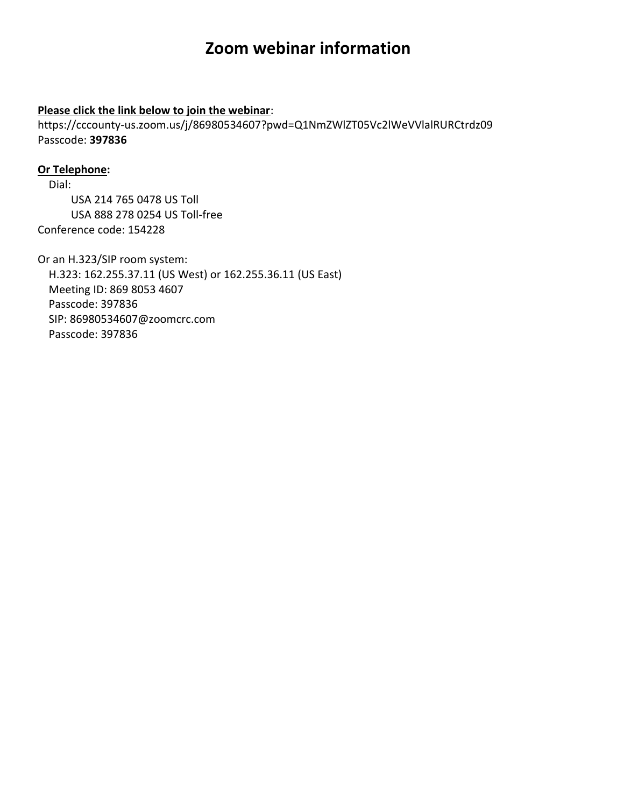# **Zoom webinar information**

#### **Please click the link below to join the webinar**:

https://cccounty-us.zoom.us/j/86980534607?pwd=Q1NmZWlZT05Vc2lWeVVlalRURCtrdz09 Passcode: **397836**

#### **Or Telephone:**

Dial: USA 214 765 0478 US Toll USA 888 278 0254 US Toll-free Conference code: 154228

Or an H.323/SIP room system: H.323: 162.255.37.11 (US West) or 162.255.36.11 (US East) Meeting ID: 869 8053 4607 Passcode: 397836 SIP: 86980534607@zoomcrc.com Passcode: 397836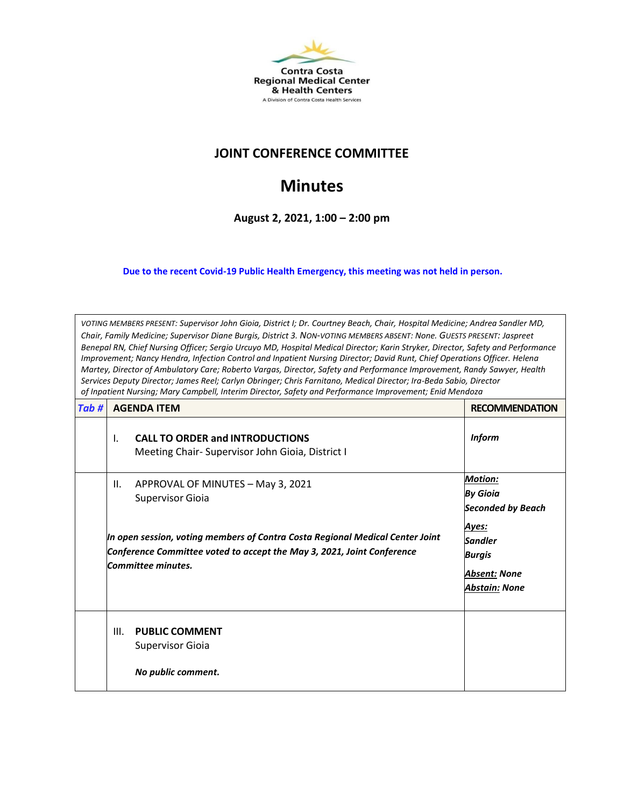

### **JOINT CONFERENCE COMMITTEE**

# **Minutes**

**August 2, 2021, 1:00 – 2:00 pm**

**Due to the recent Covid-19 Public Health Emergency, this meeting was not held in person.** 

*VOTING MEMBERS PRESENT: Supervisor John Gioia, District I; Dr. Courtney Beach, Chair, Hospital Medicine; Andrea Sandler MD, Chair, Family Medicine; Supervisor Diane Burgis, District 3. NON-VOTING MEMBERS ABSENT: None. GUESTS PRESENT: Jaspreet Benepal RN, Chief Nursing Officer; Sergio Urcuyo MD, Hospital Medical Director; Karin Stryker, Director, Safety and Performance Improvement; Nancy Hendra, Infection Control and Inpatient Nursing Director; David Runt, Chief Operations Officer. Helena Martey, Director of Ambulatory Care; Roberto Vargas, Director, Safety and Performance Improvement, Randy Sawyer, Health Services Deputy Director; James Reel; Carlyn Obringer; Chris Farnitano, Medical Director; Ira-Beda Sabio, Director of Inpatient Nursing; Mary Campbell, Interim Director, Safety and Performance Improvement; Enid Mendoza*

| Tab# | <b>AGENDA ITEM</b>                                                                                                                                                            | <b>RECOMMENDATION</b>                                                     |
|------|-------------------------------------------------------------------------------------------------------------------------------------------------------------------------------|---------------------------------------------------------------------------|
|      | <b>CALL TO ORDER and INTRODUCTIONS</b><br>I.<br>Meeting Chair-Supervisor John Gioia, District I                                                                               | <b>Inform</b>                                                             |
|      | APPROVAL OF MINUTES - May 3, 2021<br>Ш.<br><b>Supervisor Gioia</b>                                                                                                            | <b>Motion:</b><br><b>By Gioia</b><br><b>Seconded by Beach</b>             |
|      | In open session, voting members of Contra Costa Regional Medical Center Joint<br>Conference Committee voted to accept the May 3, 2021, Joint Conference<br>Committee minutes. | Ayes:<br><b>Sandler</b><br>Burgis<br><b>Absent: None</b><br>Abstain: None |
|      | Ш.<br><b>PUBLIC COMMENT</b><br><b>Supervisor Gioia</b><br>No public comment.                                                                                                  |                                                                           |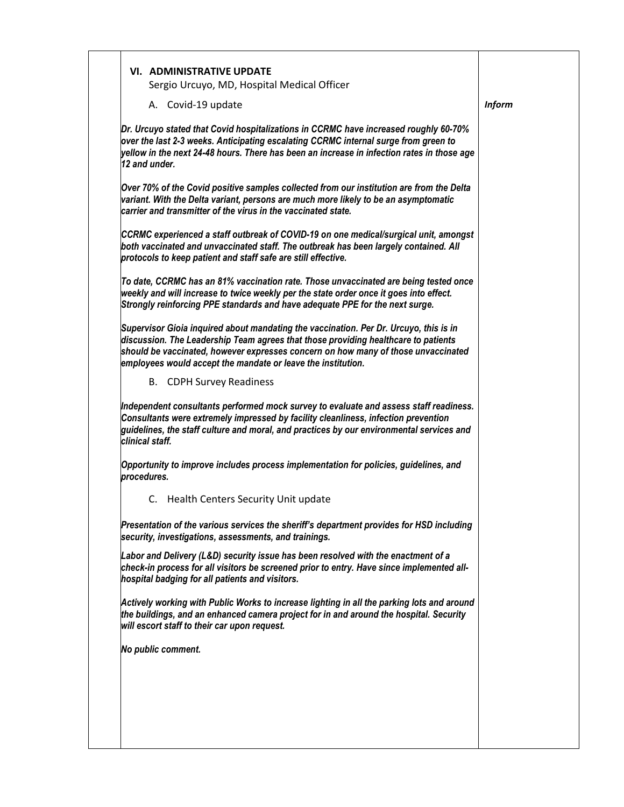|             | A. Covid-19 update                                                                                                                                                                                                                                                                                                               | <b>Inform</b> |
|-------------|----------------------------------------------------------------------------------------------------------------------------------------------------------------------------------------------------------------------------------------------------------------------------------------------------------------------------------|---------------|
|             | Dr. Urcuyo stated that Covid hospitalizations in CCRMC have increased roughly 60-70%<br>over the last 2-3 weeks. Anticipating escalating CCRMC internal surge from green to<br>yellow in the next 24-48 hours. There has been an increase in infection rates in those age                                                        |               |
|             | 12 and under.                                                                                                                                                                                                                                                                                                                    |               |
|             | Over 70% of the Covid positive samples collected from our institution are from the Delta<br>variant. With the Delta variant, persons are much more likely to be an asymptomatic<br>carrier and transmitter of the virus in the vaccinated state.                                                                                 |               |
|             | CCRMC experienced a staff outbreak of COVID-19 on one medical/surgical unit, amongst<br>both vaccinated and unvaccinated staff. The outbreak has been largely contained. All<br>protocols to keep patient and staff safe are still effective.                                                                                    |               |
|             | To date, CCRMC has an 81% vaccination rate. Those unvaccinated are being tested once<br>weekly and will increase to twice weekly per the state order once it goes into effect.<br>Strongly reinforcing PPE standards and have adequate PPE for the next surge.                                                                   |               |
|             | Supervisor Gioia inquired about mandating the vaccination. Per Dr. Urcuyo, this is in<br>discussion. The Leadership Team agrees that those providing healthcare to patients<br>should be vaccinated, however expresses concern on how many of those unvaccinated<br>employees would accept the mandate or leave the institution. |               |
|             | <b>B.</b> CDPH Survey Readiness                                                                                                                                                                                                                                                                                                  |               |
|             | Independent consultants performed mock survey to evaluate and assess staff readiness.<br>Consultants were extremely impressed by facility cleanliness, infection prevention<br>guidelines, the staff culture and moral, and practices by our environmental services and<br>clinical staff.                                       |               |
| procedures. | Opportunity to improve includes process implementation for policies, guidelines, and                                                                                                                                                                                                                                             |               |
|             | C. Health Centers Security Unit update                                                                                                                                                                                                                                                                                           |               |
|             |                                                                                                                                                                                                                                                                                                                                  |               |
|             | Presentation of the various services the sheriff's department provides for HSD including<br>security, investigations, assessments, and trainings.                                                                                                                                                                                |               |
|             | Labor and Delivery (L&D) security issue has been resolved with the enactment of a<br>check-in process for all visitors be screened prior to entry. Have since implemented all-<br>hospital badging for all patients and visitors.                                                                                                |               |
|             | Actively working with Public Works to increase lighting in all the parking lots and around<br>the buildings, and an enhanced camera project for in and around the hospital. Security<br>will escort staff to their car upon request.                                                                                             |               |
|             | No public comment.                                                                                                                                                                                                                                                                                                               |               |
|             |                                                                                                                                                                                                                                                                                                                                  |               |
|             |                                                                                                                                                                                                                                                                                                                                  |               |